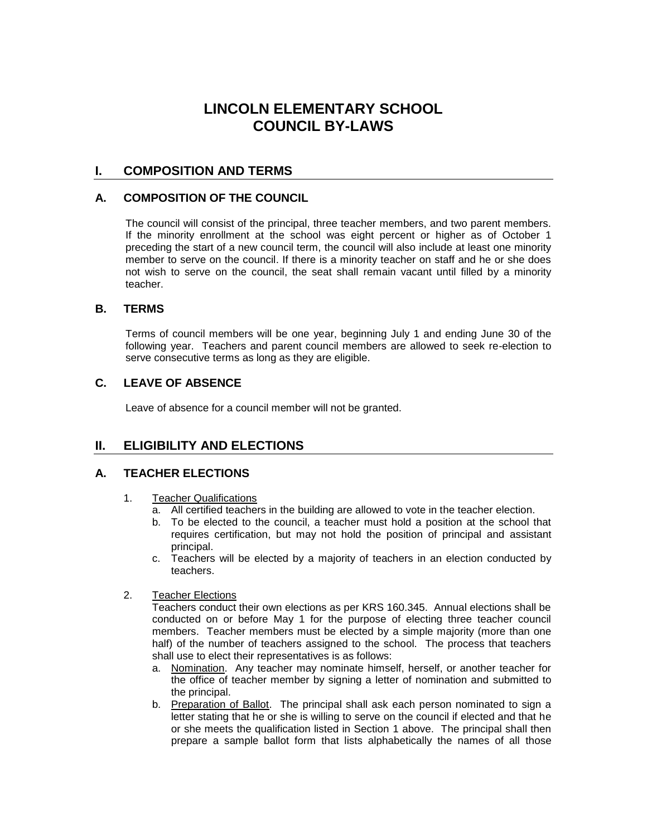# **LINCOLN ELEMENTARY SCHOOL COUNCIL BY-LAWS**

# **I. COMPOSITION AND TERMS**

### **A. COMPOSITION OF THE COUNCIL**

The council will consist of the principal, three teacher members, and two parent members. If the minority enrollment at the school was eight percent or higher as of October 1 preceding the start of a new council term, the council will also include at least one minority member to serve on the council. If there is a minority teacher on staff and he or she does not wish to serve on the council, the seat shall remain vacant until filled by a minority teacher.

### **B. TERMS**

Terms of council members will be one year, beginning July 1 and ending June 30 of the following year. Teachers and parent council members are allowed to seek re-election to serve consecutive terms as long as they are eligible.

## **C. LEAVE OF ABSENCE**

Leave of absence for a council member will not be granted.

## **II. ELIGIBILITY AND ELECTIONS**

### **A. TEACHER ELECTIONS**

- 1. Teacher Qualifications
	- a. All certified teachers in the building are allowed to vote in the teacher election.
	- b. To be elected to the council, a teacher must hold a position at the school that requires certification, but may not hold the position of principal and assistant principal.
	- c. Teachers will be elected by a majority of teachers in an election conducted by teachers.
- 2. Teacher Elections

Teachers conduct their own elections as per KRS 160.345. Annual elections shall be conducted on or before May 1 for the purpose of electing three teacher council members. Teacher members must be elected by a simple majority (more than one half) of the number of teachers assigned to the school. The process that teachers shall use to elect their representatives is as follows:

- a. Nomination. Any teacher may nominate himself, herself, or another teacher for the office of teacher member by signing a letter of nomination and submitted to the principal.
- b. Preparation of Ballot. The principal shall ask each person nominated to sign a letter stating that he or she is willing to serve on the council if elected and that he or she meets the qualification listed in Section 1 above. The principal shall then prepare a sample ballot form that lists alphabetically the names of all those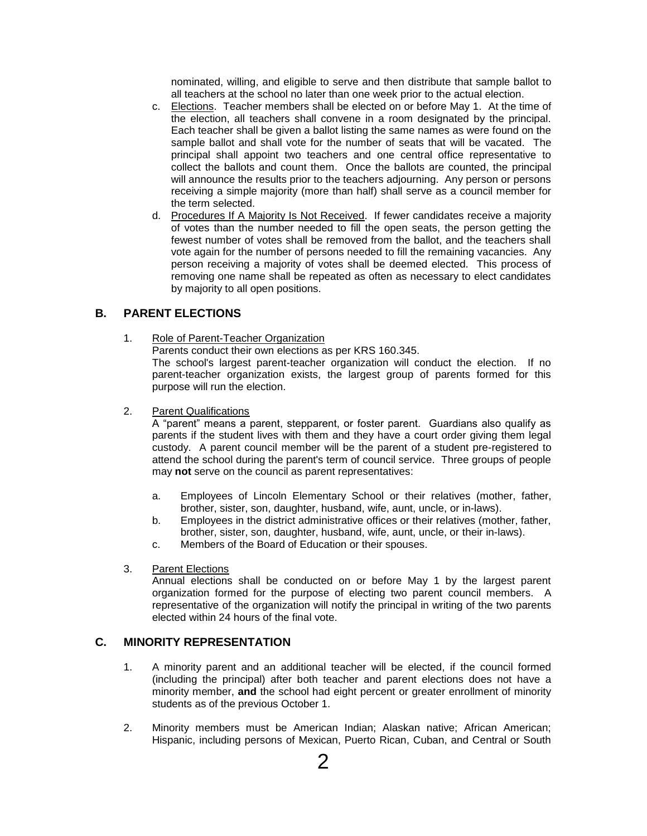nominated, willing, and eligible to serve and then distribute that sample ballot to all teachers at the school no later than one week prior to the actual election.

- c. Elections. Teacher members shall be elected on or before May 1. At the time of the election, all teachers shall convene in a room designated by the principal. Each teacher shall be given a ballot listing the same names as were found on the sample ballot and shall vote for the number of seats that will be vacated. The principal shall appoint two teachers and one central office representative to collect the ballots and count them. Once the ballots are counted, the principal will announce the results prior to the teachers adjourning. Any person or persons receiving a simple majority (more than half) shall serve as a council member for the term selected.
- d. Procedures If A Majority Is Not Received. If fewer candidates receive a majority of votes than the number needed to fill the open seats, the person getting the fewest number of votes shall be removed from the ballot, and the teachers shall vote again for the number of persons needed to fill the remaining vacancies. Any person receiving a majority of votes shall be deemed elected. This process of removing one name shall be repeated as often as necessary to elect candidates by majority to all open positions.

# **B. PARENT ELECTIONS**

1. Role of Parent-Teacher Organization

Parents conduct their own elections as per KRS 160.345. The school's largest parent-teacher organization will conduct the election. If no parent-teacher organization exists, the largest group of parents formed for this purpose will run the election.

2. Parent Qualifications

A "parent" means a parent, stepparent, or foster parent. Guardians also qualify as parents if the student lives with them and they have a court order giving them legal custody. A parent council member will be the parent of a student pre-registered to attend the school during the parent's term of council service. Three groups of people may **not** serve on the council as parent representatives:

- a. Employees of Lincoln Elementary School or their relatives (mother, father, brother, sister, son, daughter, husband, wife, aunt, uncle, or in-laws).
- b. Employees in the district administrative offices or their relatives (mother, father, brother, sister, son, daughter, husband, wife, aunt, uncle, or their in-laws).
- c. Members of the Board of Education or their spouses.
- 3. Parent Elections

Annual elections shall be conducted on or before May 1 by the largest parent organization formed for the purpose of electing two parent council members. A representative of the organization will notify the principal in writing of the two parents elected within 24 hours of the final vote.

### **C. MINORITY REPRESENTATION**

- 1. A minority parent and an additional teacher will be elected, if the council formed (including the principal) after both teacher and parent elections does not have a minority member, **and** the school had eight percent or greater enrollment of minority students as of the previous October 1.
- 2. Minority members must be American Indian; Alaskan native; African American; Hispanic, including persons of Mexican, Puerto Rican, Cuban, and Central or South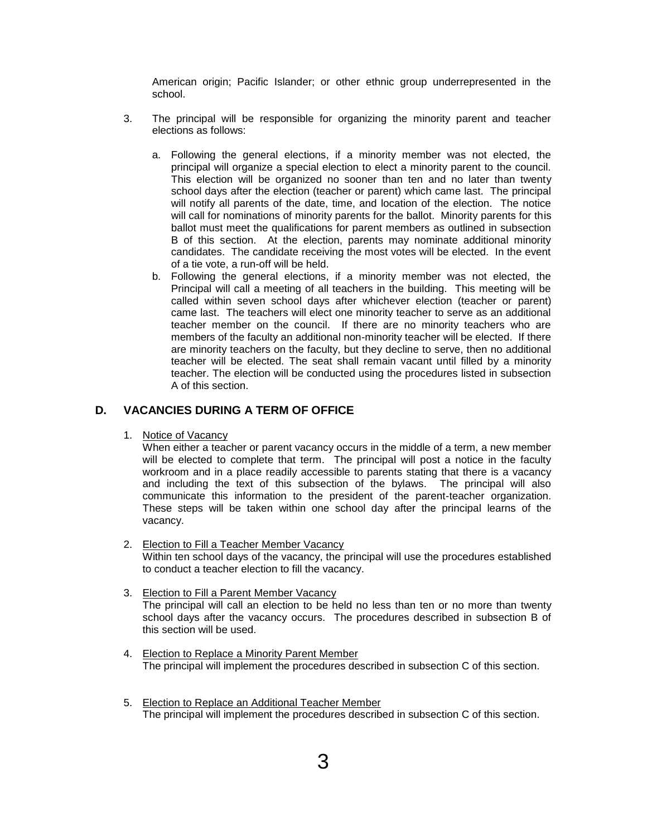American origin; Pacific Islander; or other ethnic group underrepresented in the school.

- 3. The principal will be responsible for organizing the minority parent and teacher elections as follows:
	- a. Following the general elections, if a minority member was not elected, the principal will organize a special election to elect a minority parent to the council. This election will be organized no sooner than ten and no later than twenty school days after the election (teacher or parent) which came last. The principal will notify all parents of the date, time, and location of the election. The notice will call for nominations of minority parents for the ballot. Minority parents for this ballot must meet the qualifications for parent members as outlined in subsection B of this section. At the election, parents may nominate additional minority candidates. The candidate receiving the most votes will be elected. In the event of a tie vote, a run-off will be held.
	- b. Following the general elections, if a minority member was not elected, the Principal will call a meeting of all teachers in the building. This meeting will be called within seven school days after whichever election (teacher or parent) came last. The teachers will elect one minority teacher to serve as an additional teacher member on the council. If there are no minority teachers who are members of the faculty an additional non-minority teacher will be elected. If there are minority teachers on the faculty, but they decline to serve, then no additional teacher will be elected. The seat shall remain vacant until filled by a minority teacher. The election will be conducted using the procedures listed in subsection A of this section.

## **D. VACANCIES DURING A TERM OF OFFICE**

1. Notice of Vacancy

When either a teacher or parent vacancy occurs in the middle of a term, a new member will be elected to complete that term. The principal will post a notice in the faculty workroom and in a place readily accessible to parents stating that there is a vacancy and including the text of this subsection of the bylaws. The principal will also communicate this information to the president of the parent-teacher organization. These steps will be taken within one school day after the principal learns of the vacancy.

- 2. Election to Fill a Teacher Member Vacancy Within ten school days of the vacancy, the principal will use the procedures established to conduct a teacher election to fill the vacancy.
- 3. Election to Fill a Parent Member Vacancy The principal will call an election to be held no less than ten or no more than twenty school days after the vacancy occurs. The procedures described in subsection B of this section will be used.
- 4. Election to Replace a Minority Parent Member The principal will implement the procedures described in subsection C of this section.
- 5. Election to Replace an Additional Teacher Member The principal will implement the procedures described in subsection C of this section.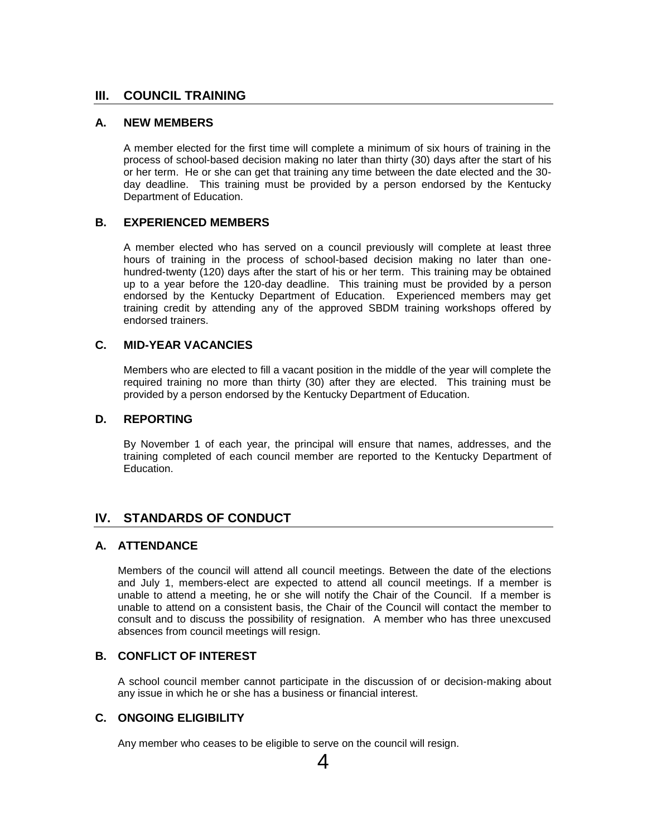## **III. COUNCIL TRAINING**

#### **A. NEW MEMBERS**

A member elected for the first time will complete a minimum of six hours of training in the process of school-based decision making no later than thirty (30) days after the start of his or her term. He or she can get that training any time between the date elected and the 30 day deadline. This training must be provided by a person endorsed by the Kentucky Department of Education.

### **B. EXPERIENCED MEMBERS**

A member elected who has served on a council previously will complete at least three hours of training in the process of school-based decision making no later than onehundred-twenty (120) days after the start of his or her term. This training may be obtained up to a year before the 120-day deadline. This training must be provided by a person endorsed by the Kentucky Department of Education. Experienced members may get training credit by attending any of the approved SBDM training workshops offered by endorsed trainers.

## **C. MID-YEAR VACANCIES**

Members who are elected to fill a vacant position in the middle of the year will complete the required training no more than thirty (30) after they are elected. This training must be provided by a person endorsed by the Kentucky Department of Education.

#### **D. REPORTING**

By November 1 of each year, the principal will ensure that names, addresses, and the training completed of each council member are reported to the Kentucky Department of Education.

# **IV. STANDARDS OF CONDUCT**

## **A. ATTENDANCE**

Members of the council will attend all council meetings. Between the date of the elections and July 1, members-elect are expected to attend all council meetings. If a member is unable to attend a meeting, he or she will notify the Chair of the Council. If a member is unable to attend on a consistent basis, the Chair of the Council will contact the member to consult and to discuss the possibility of resignation. A member who has three unexcused absences from council meetings will resign.

### **B. CONFLICT OF INTEREST**

A school council member cannot participate in the discussion of or decision-making about any issue in which he or she has a business or financial interest.

#### **C. ONGOING ELIGIBILITY**

Any member who ceases to be eligible to serve on the council will resign.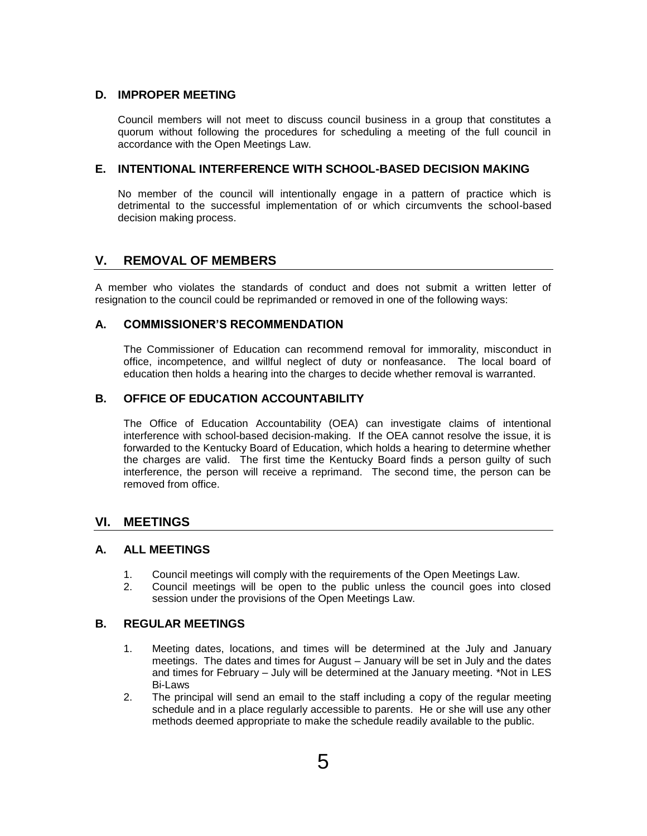## **D. IMPROPER MEETING**

Council members will not meet to discuss council business in a group that constitutes a quorum without following the procedures for scheduling a meeting of the full council in accordance with the Open Meetings Law.

### **E. INTENTIONAL INTERFERENCE WITH SCHOOL-BASED DECISION MAKING**

No member of the council will intentionally engage in a pattern of practice which is detrimental to the successful implementation of or which circumvents the school-based decision making process.

# **V. REMOVAL OF MEMBERS**

A member who violates the standards of conduct and does not submit a written letter of resignation to the council could be reprimanded or removed in one of the following ways:

## **A. COMMISSIONER'S RECOMMENDATION**

The Commissioner of Education can recommend removal for immorality, misconduct in office, incompetence, and willful neglect of duty or nonfeasance. The local board of education then holds a hearing into the charges to decide whether removal is warranted.

## **B. OFFICE OF EDUCATION ACCOUNTABILITY**

The Office of Education Accountability (OEA) can investigate claims of intentional interference with school-based decision-making. If the OEA cannot resolve the issue, it is forwarded to the Kentucky Board of Education, which holds a hearing to determine whether the charges are valid. The first time the Kentucky Board finds a person guilty of such interference, the person will receive a reprimand. The second time, the person can be removed from office.

## **VI. MEETINGS**

### **A. ALL MEETINGS**

- 1. Council meetings will comply with the requirements of the Open Meetings Law.
- 2. Council meetings will be open to the public unless the council goes into closed session under the provisions of the Open Meetings Law.

### **B. REGULAR MEETINGS**

- 1. Meeting dates, locations, and times will be determined at the July and January meetings. The dates and times for August – January will be set in July and the dates and times for February – July will be determined at the January meeting. \*Not in LES Bi-Laws
- 2. The principal will send an email to the staff including a copy of the regular meeting schedule and in a place regularly accessible to parents. He or she will use any other methods deemed appropriate to make the schedule readily available to the public.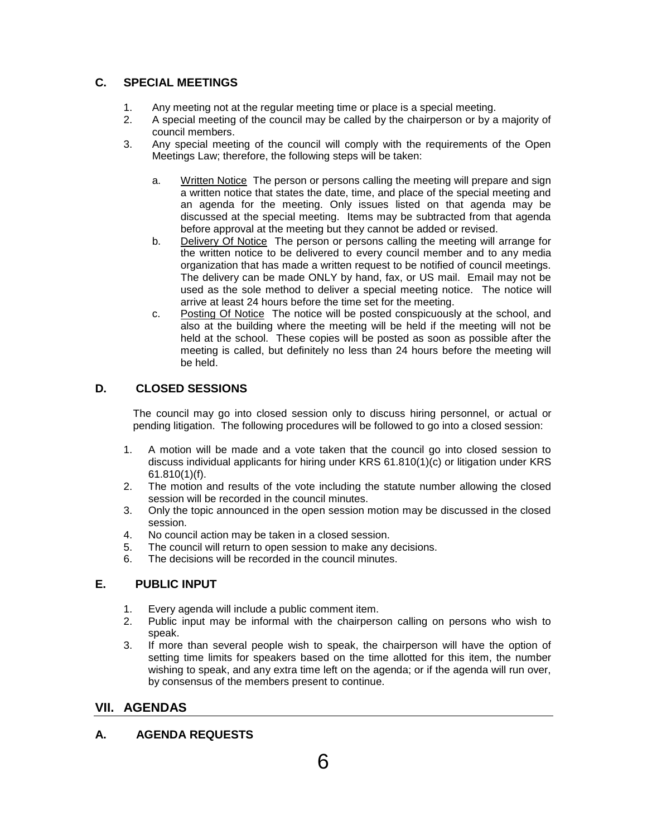# **C. SPECIAL MEETINGS**

- 1. Any meeting not at the regular meeting time or place is a special meeting.
- 2. A special meeting of the council may be called by the chairperson or by a majority of council members.
- 3. Any special meeting of the council will comply with the requirements of the Open Meetings Law; therefore, the following steps will be taken:
	- a. Written Notice The person or persons calling the meeting will prepare and sign a written notice that states the date, time, and place of the special meeting and an agenda for the meeting. Only issues listed on that agenda may be discussed at the special meeting. Items may be subtracted from that agenda before approval at the meeting but they cannot be added or revised.
	- b. Delivery Of Notice The person or persons calling the meeting will arrange for the written notice to be delivered to every council member and to any media organization that has made a written request to be notified of council meetings. The delivery can be made ONLY by hand, fax, or US mail. Email may not be used as the sole method to deliver a special meeting notice. The notice will arrive at least 24 hours before the time set for the meeting.
	- c. Posting Of Notice The notice will be posted conspicuously at the school, and also at the building where the meeting will be held if the meeting will not be held at the school. These copies will be posted as soon as possible after the meeting is called, but definitely no less than 24 hours before the meeting will be held.

# **D. CLOSED SESSIONS**

The council may go into closed session only to discuss hiring personnel, or actual or pending litigation. The following procedures will be followed to go into a closed session:

- 1. A motion will be made and a vote taken that the council go into closed session to discuss individual applicants for hiring under KRS 61.810(1)(c) or litigation under KRS 61.810(1)(f).
- 2. The motion and results of the vote including the statute number allowing the closed session will be recorded in the council minutes.
- 3. Only the topic announced in the open session motion may be discussed in the closed session.
- 4. No council action may be taken in a closed session.
- 5. The council will return to open session to make any decisions.
- 6. The decisions will be recorded in the council minutes.

# **E. PUBLIC INPUT**

- 1. Every agenda will include a public comment item.
- 2. Public input may be informal with the chairperson calling on persons who wish to speak.
- 3. If more than several people wish to speak, the chairperson will have the option of setting time limits for speakers based on the time allotted for this item, the number wishing to speak, and any extra time left on the agenda; or if the agenda will run over, by consensus of the members present to continue.

# **VII. AGENDAS**

# **A. AGENDA REQUESTS**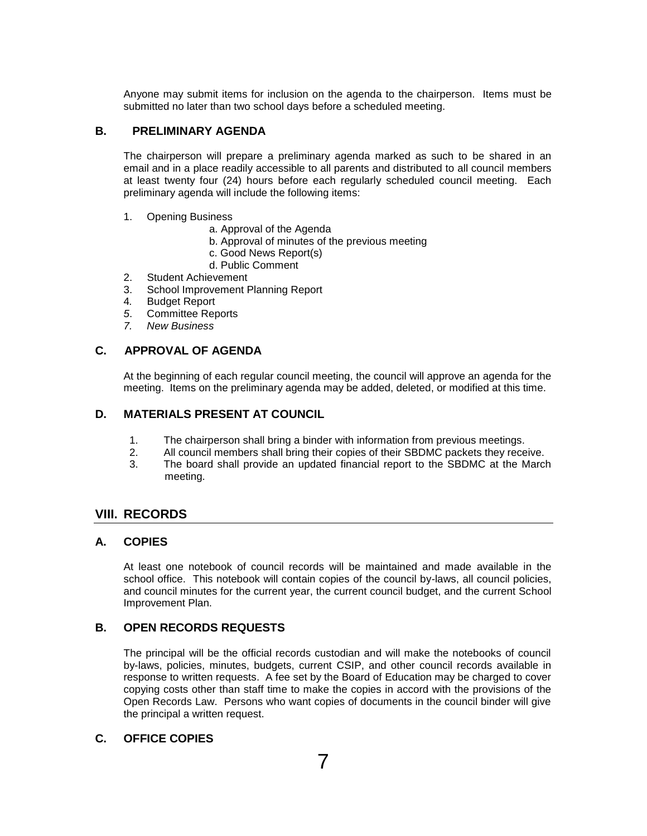Anyone may submit items for inclusion on the agenda to the chairperson. Items must be submitted no later than two school days before a scheduled meeting.

#### **B. PRELIMINARY AGENDA**

The chairperson will prepare a preliminary agenda marked as such to be shared in an email and in a place readily accessible to all parents and distributed to all council members at least twenty four (24) hours before each regularly scheduled council meeting. Each preliminary agenda will include the following items:

#### 1. Opening Business

- a. Approval of the Agenda
- b. Approval of minutes of the previous meeting
- c. Good News Report(s)
- d. Public Comment
- 2. Student Achievement
- 3. School Improvement Planning Report
- 4*.* Budget Report
- *5*. Committee Reports
- *7. New Business*

## **C. APPROVAL OF AGENDA**

At the beginning of each regular council meeting, the council will approve an agenda for the meeting. Items on the preliminary agenda may be added, deleted, or modified at this time.

### **D. MATERIALS PRESENT AT COUNCIL**

- 1. The chairperson shall bring a binder with information from previous meetings.
- 2. All council members shall bring their copies of their SBDMC packets they receive.
- 3. The board shall provide an updated financial report to the SBDMC at the March meeting.

### **VIII. RECORDS**

#### **A. COPIES**

At least one notebook of council records will be maintained and made available in the school office. This notebook will contain copies of the council by-laws, all council policies, and council minutes for the current year, the current council budget, and the current School Improvement Plan.

### **B. OPEN RECORDS REQUESTS**

The principal will be the official records custodian and will make the notebooks of council by-laws, policies, minutes, budgets, current CSIP, and other council records available in response to written requests. A fee set by the Board of Education may be charged to cover copying costs other than staff time to make the copies in accord with the provisions of the Open Records Law. Persons who want copies of documents in the council binder will give the principal a written request.

#### **C. OFFICE COPIES**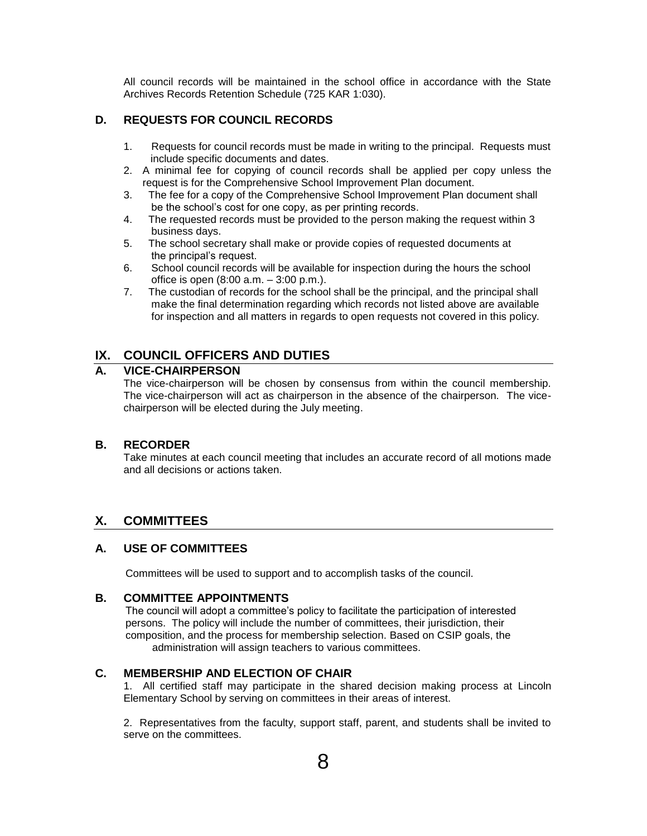All council records will be maintained in the school office in accordance with the State Archives Records Retention Schedule (725 KAR 1:030).

# **D. REQUESTS FOR COUNCIL RECORDS**

- 1. Requests for council records must be made in writing to the principal. Requests must include specific documents and dates.
- 2. A minimal fee for copying of council records shall be applied per copy unless the request is for the Comprehensive School Improvement Plan document.
- 3. The fee for a copy of the Comprehensive School Improvement Plan document shall be the school's cost for one copy, as per printing records.
- 4. The requested records must be provided to the person making the request within 3 business days.
- 5. The school secretary shall make or provide copies of requested documents at the principal's request.
- 6. School council records will be available for inspection during the hours the school office is open (8:00 a.m. – 3:00 p.m.).
- 7. The custodian of records for the school shall be the principal, and the principal shall make the final determination regarding which records not listed above are available for inspection and all matters in regards to open requests not covered in this policy.

# **IX. COUNCIL OFFICERS AND DUTIES**

## **A. VICE-CHAIRPERSON**

The vice-chairperson will be chosen by consensus from within the council membership. The vice-chairperson will act as chairperson in the absence of the chairperson. The vicechairperson will be elected during the July meeting.

## **B. RECORDER**

Take minutes at each council meeting that includes an accurate record of all motions made and all decisions or actions taken.

# **X. COMMITTEES**

## **A. USE OF COMMITTEES**

Committees will be used to support and to accomplish tasks of the council.

## **B. COMMITTEE APPOINTMENTS**

The council will adopt a committee's policy to facilitate the participation of interested persons. The policy will include the number of committees, their jurisdiction, their composition, and the process for membership selection. Based on CSIP goals, the administration will assign teachers to various committees.

## **C. MEMBERSHIP AND ELECTION OF CHAIR**

1. All certified staff may participate in the shared decision making process at Lincoln Elementary School by serving on committees in their areas of interest.

2. Representatives from the faculty, support staff, parent, and students shall be invited to serve on the committees.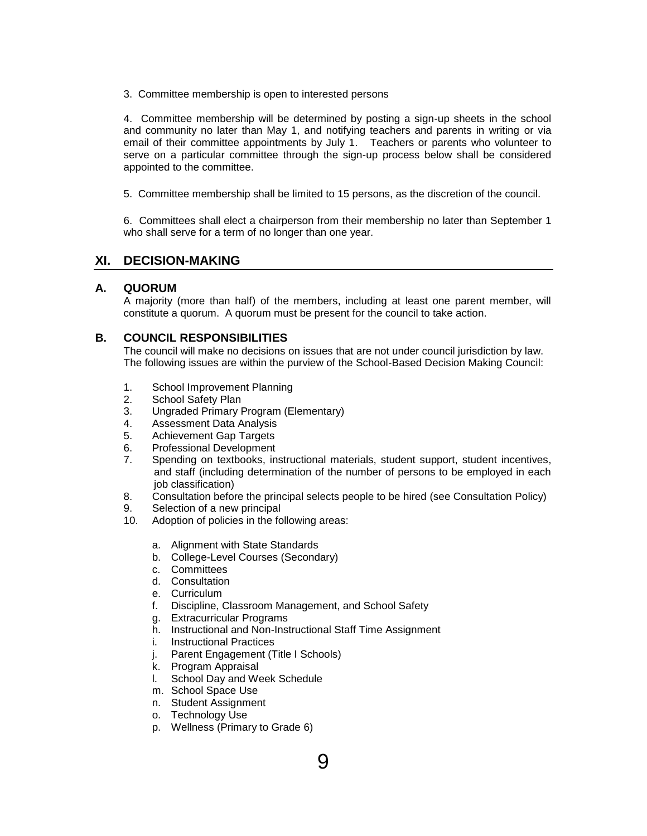3. Committee membership is open to interested persons

4. Committee membership will be determined by posting a sign-up sheets in the school and community no later than May 1, and notifying teachers and parents in writing or via email of their committee appointments by July 1. Teachers or parents who volunteer to serve on a particular committee through the sign-up process below shall be considered appointed to the committee.

5. Committee membership shall be limited to 15 persons, as the discretion of the council.

6. Committees shall elect a chairperson from their membership no later than September 1 who shall serve for a term of no longer than one year.

# **XI. DECISION-MAKING**

### **A. QUORUM**

A majority (more than half) of the members, including at least one parent member, will constitute a quorum. A quorum must be present for the council to take action.

## **B. COUNCIL RESPONSIBILITIES**

The council will make no decisions on issues that are not under council jurisdiction by law. The following issues are within the purview of the School-Based Decision Making Council:

- 1. School Improvement Planning
- 2. School Safety Plan
- 3. Ungraded Primary Program (Elementary)
- 4. Assessment Data Analysis
- 5. Achievement Gap Targets
- 6. Professional Development
- 7. Spending on textbooks, instructional materials, student support, student incentives, and staff (including determination of the number of persons to be employed in each job classification)
- 8. Consultation before the principal selects people to be hired (see Consultation Policy)
- 9. Selection of a new principal
- 10. Adoption of policies in the following areas:
	- a. Alignment with State Standards
	- b. College-Level Courses (Secondary)
	- c. Committees
	- d. Consultation
	- e. Curriculum
	- f. Discipline, Classroom Management, and School Safety
	- g. Extracurricular Programs
	- h. Instructional and Non-Instructional Staff Time Assignment
	- i. Instructional Practices
	- j. Parent Engagement (Title I Schools)
	- k. Program Appraisal
	- l. School Day and Week Schedule
	- m. School Space Use
	- n. Student Assignment
	- o. Technology Use
	- p. Wellness (Primary to Grade 6)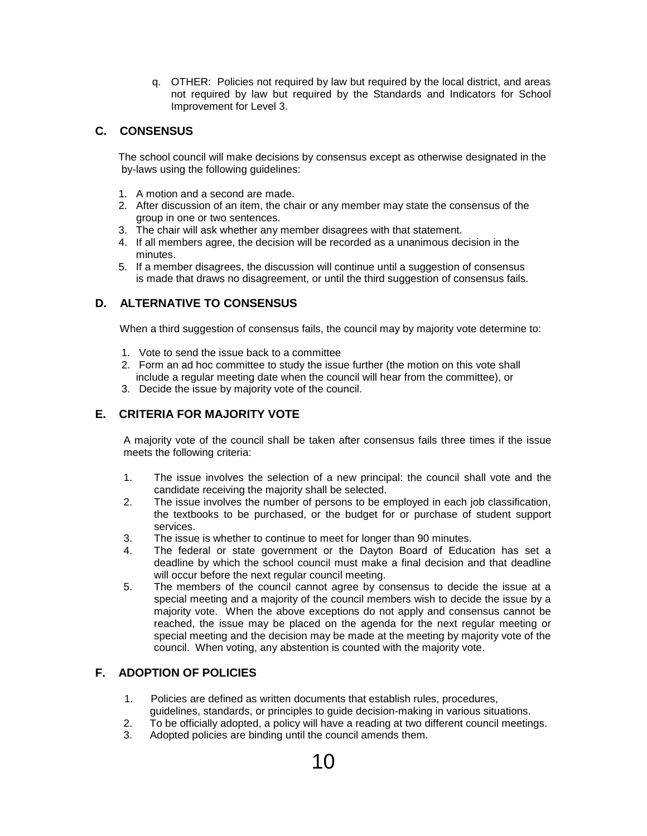q. OTHER: Policies not required by law but required by the local district, and areas not required by law but required by the Standards and Indicators for School Improvement for Level 3.

# **C. CONSENSUS**

 The school council will make decisions by consensus except as otherwise designated in the by-laws using the following guidelines:

- 1. A motion and a second are made.
- 2. After discussion of an item, the chair or any member may state the consensus of the group in one or two sentences.
- 3. The chair will ask whether any member disagrees with that statement.
- 4. If all members agree, the decision will be recorded as a unanimous decision in the minutes.
- 5. If a member disagrees, the discussion will continue until a suggestion of consensus is made that draws no disagreement, or until the third suggestion of consensus fails.

# **D. ALTERNATIVE TO CONSENSUS**

When a third suggestion of consensus fails, the council may by majority vote determine to:

- 1. Vote to send the issue back to a committee
- 2. Form an ad hoc committee to study the issue further (the motion on this vote shall include a regular meeting date when the council will hear from the committee), or
- 3. Decide the issue by majority vote of the council.

# **E. CRITERIA FOR MAJORITY VOTE**

A majority vote of the council shall be taken after consensus fails three times if the issue meets the following criteria:

- 1. The issue involves the selection of a new principal: the council shall vote and the candidate receiving the majority shall be selected.
- 2. The issue involves the number of persons to be employed in each job classification, the textbooks to be purchased, or the budget for or purchase of student support services.
- 3. The issue is whether to continue to meet for longer than 90 minutes.
- 4. The federal or state government or the Dayton Board of Education has set a deadline by which the school council must make a final decision and that deadline will occur before the next regular council meeting.
- 5. The members of the council cannot agree by consensus to decide the issue at a special meeting and a majority of the council members wish to decide the issue by a majority vote. When the above exceptions do not apply and consensus cannot be reached, the issue may be placed on the agenda for the next regular meeting or special meeting and the decision may be made at the meeting by majority vote of the council. When voting, any abstention is counted with the majority vote.

## **F. ADOPTION OF POLICIES**

- 1. Policies are defined as written documents that establish rules, procedures, guidelines, standards, or principles to guide decision-making in various situations.
- 2. To be officially adopted, a policy will have a reading at two different council meetings.
- 3. Adopted policies are binding until the council amends them.